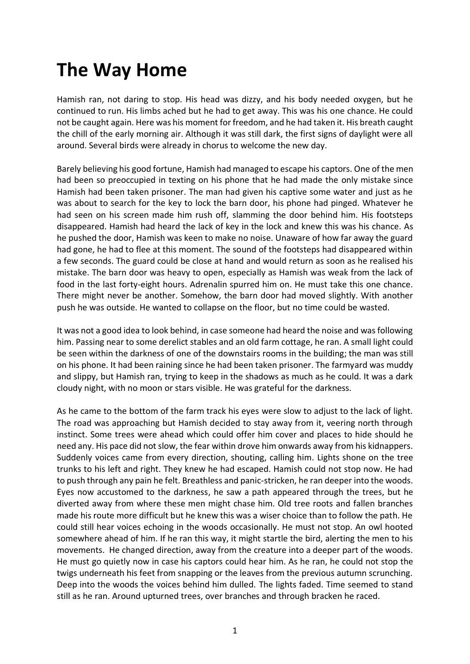## **The Way Home**

Hamish ran, not daring to stop. His head was dizzy, and his body needed oxygen, but he continued to run. His limbs ached but he had to get away. This was his one chance. He could not be caught again. Here was his moment for freedom, and he had taken it. His breath caught the chill of the early morning air. Although it was still dark, the first signs of daylight were all around. Several birds were already in chorus to welcome the new day.

Barely believing his good fortune, Hamish had managed to escape his captors. One of the men had been so preoccupied in texting on his phone that he had made the only mistake since Hamish had been taken prisoner. The man had given his captive some water and just as he was about to search for the key to lock the barn door, his phone had pinged. Whatever he had seen on his screen made him rush off, slamming the door behind him. His footsteps disappeared. Hamish had heard the lack of key in the lock and knew this was his chance. As he pushed the door, Hamish was keen to make no noise. Unaware of how far away the guard had gone, he had to flee at this moment. The sound of the footsteps had disappeared within a few seconds. The guard could be close at hand and would return as soon as he realised his mistake. The barn door was heavy to open, especially as Hamish was weak from the lack of food in the last forty-eight hours. Adrenalin spurred him on. He must take this one chance. There might never be another. Somehow, the barn door had moved slightly. With another push he was outside. He wanted to collapse on the floor, but no time could be wasted.

It was not a good idea to look behind, in case someone had heard the noise and was following him. Passing near to some derelict stables and an old farm cottage, he ran. A small light could be seen within the darkness of one of the downstairs rooms in the building; the man was still on his phone. It had been raining since he had been taken prisoner. The farmyard was muddy and slippy, but Hamish ran, trying to keep in the shadows as much as he could. It was a dark cloudy night, with no moon or stars visible. He was grateful for the darkness.

As he came to the bottom of the farm track his eyes were slow to adjust to the lack of light. The road was approaching but Hamish decided to stay away from it, veering north through instinct. Some trees were ahead which could offer him cover and places to hide should he need any. His pace did not slow, the fear within drove him onwards away from his kidnappers. Suddenly voices came from every direction, shouting, calling him. Lights shone on the tree trunks to his left and right. They knew he had escaped. Hamish could not stop now. He had to push through any pain he felt. Breathless and panic-stricken, he ran deeper into the woods. Eyes now accustomed to the darkness, he saw a path appeared through the trees, but he diverted away from where these men might chase him. Old tree roots and fallen branches made his route more difficult but he knew this was a wiser choice than to follow the path. He could still hear voices echoing in the woods occasionally. He must not stop. An owl hooted somewhere ahead of him. If he ran this way, it might startle the bird, alerting the men to his movements. He changed direction, away from the creature into a deeper part of the woods. He must go quietly now in case his captors could hear him. As he ran, he could not stop the twigs underneath his feet from snapping or the leaves from the previous autumn scrunching. Deep into the woods the voices behind him dulled. The lights faded. Time seemed to stand still as he ran. Around upturned trees, over branches and through bracken he raced.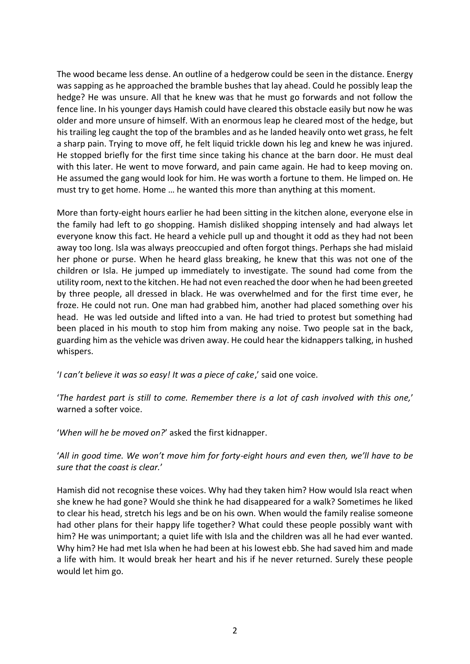The wood became less dense. An outline of a hedgerow could be seen in the distance. Energy was sapping as he approached the bramble bushes that lay ahead. Could he possibly leap the hedge? He was unsure. All that he knew was that he must go forwards and not follow the fence line. In his younger days Hamish could have cleared this obstacle easily but now he was older and more unsure of himself. With an enormous leap he cleared most of the hedge, but his trailing leg caught the top of the brambles and as he landed heavily onto wet grass, he felt a sharp pain. Trying to move off, he felt liquid trickle down his leg and knew he was injured. He stopped briefly for the first time since taking his chance at the barn door. He must deal with this later. He went to move forward, and pain came again. He had to keep moving on. He assumed the gang would look for him. He was worth a fortune to them. He limped on. He must try to get home. Home … he wanted this more than anything at this moment.

More than forty-eight hours earlier he had been sitting in the kitchen alone, everyone else in the family had left to go shopping. Hamish disliked shopping intensely and had always let everyone know this fact. He heard a vehicle pull up and thought it odd as they had not been away too long. Isla was always preoccupied and often forgot things. Perhaps she had mislaid her phone or purse. When he heard glass breaking, he knew that this was not one of the children or Isla. He jumped up immediately to investigate. The sound had come from the utility room, next to the kitchen. He had not even reached the door when he had been greeted by three people, all dressed in black. He was overwhelmed and for the first time ever, he froze. He could not run. One man had grabbed him, another had placed something over his head. He was led outside and lifted into a van. He had tried to protest but something had been placed in his mouth to stop him from making any noise. Two people sat in the back, guarding him as the vehicle was driven away. He could hear the kidnappers talking, in hushed whispers.

'*I can't believe it was so easy! It was a piece of cake*,' said one voice.

'*The hardest part is still to come. Remember there is a lot of cash involved with this one,*' warned a softer voice.

'*When will he be moved on?*' asked the first kidnapper.

## '*All in good time. We won't move him for forty-eight hours and even then, we'll have to be sure that the coast is clear.*'

Hamish did not recognise these voices. Why had they taken him? How would Isla react when she knew he had gone? Would she think he had disappeared for a walk? Sometimes he liked to clear his head, stretch his legs and be on his own. When would the family realise someone had other plans for their happy life together? What could these people possibly want with him? He was unimportant; a quiet life with Isla and the children was all he had ever wanted. Why him? He had met Isla when he had been at his lowest ebb. She had saved him and made a life with him. It would break her heart and his if he never returned. Surely these people would let him go.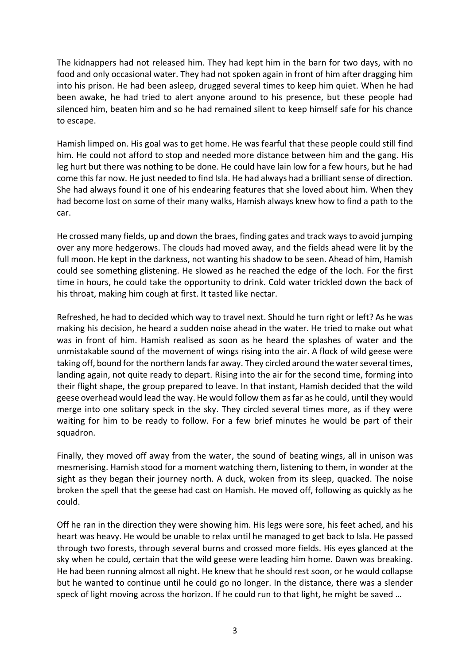The kidnappers had not released him. They had kept him in the barn for two days, with no food and only occasional water. They had not spoken again in front of him after dragging him into his prison. He had been asleep, drugged several times to keep him quiet. When he had been awake, he had tried to alert anyone around to his presence, but these people had silenced him, beaten him and so he had remained silent to keep himself safe for his chance to escape.

Hamish limped on. His goal was to get home. He was fearful that these people could still find him. He could not afford to stop and needed more distance between him and the gang. His leg hurt but there was nothing to be done. He could have lain low for a few hours, but he had come this far now. He just needed to find Isla. He had always had a brilliant sense of direction. She had always found it one of his endearing features that she loved about him. When they had become lost on some of their many walks, Hamish always knew how to find a path to the car.

He crossed many fields, up and down the braes, finding gates and track ways to avoid jumping over any more hedgerows. The clouds had moved away, and the fields ahead were lit by the full moon. He kept in the darkness, not wanting his shadow to be seen. Ahead of him, Hamish could see something glistening. He slowed as he reached the edge of the loch. For the first time in hours, he could take the opportunity to drink. Cold water trickled down the back of his throat, making him cough at first. It tasted like nectar.

Refreshed, he had to decided which way to travel next. Should he turn right or left? As he was making his decision, he heard a sudden noise ahead in the water. He tried to make out what was in front of him. Hamish realised as soon as he heard the splashes of water and the unmistakable sound of the movement of wings rising into the air. A flock of wild geese were taking off, bound for the northern lands far away. They circled around the water several times, landing again, not quite ready to depart. Rising into the air for the second time, forming into their flight shape, the group prepared to leave. In that instant, Hamish decided that the wild geese overhead would lead the way. He would follow them as far as he could, until they would merge into one solitary speck in the sky. They circled several times more, as if they were waiting for him to be ready to follow. For a few brief minutes he would be part of their squadron.

Finally, they moved off away from the water, the sound of beating wings, all in unison was mesmerising. Hamish stood for a moment watching them, listening to them, in wonder at the sight as they began their journey north. A duck, woken from its sleep, quacked. The noise broken the spell that the geese had cast on Hamish. He moved off, following as quickly as he could.

Off he ran in the direction they were showing him. His legs were sore, his feet ached, and his heart was heavy. He would be unable to relax until he managed to get back to Isla. He passed through two forests, through several burns and crossed more fields. His eyes glanced at the sky when he could, certain that the wild geese were leading him home. Dawn was breaking. He had been running almost all night. He knew that he should rest soon, or he would collapse but he wanted to continue until he could go no longer. In the distance, there was a slender speck of light moving across the horizon. If he could run to that light, he might be saved …